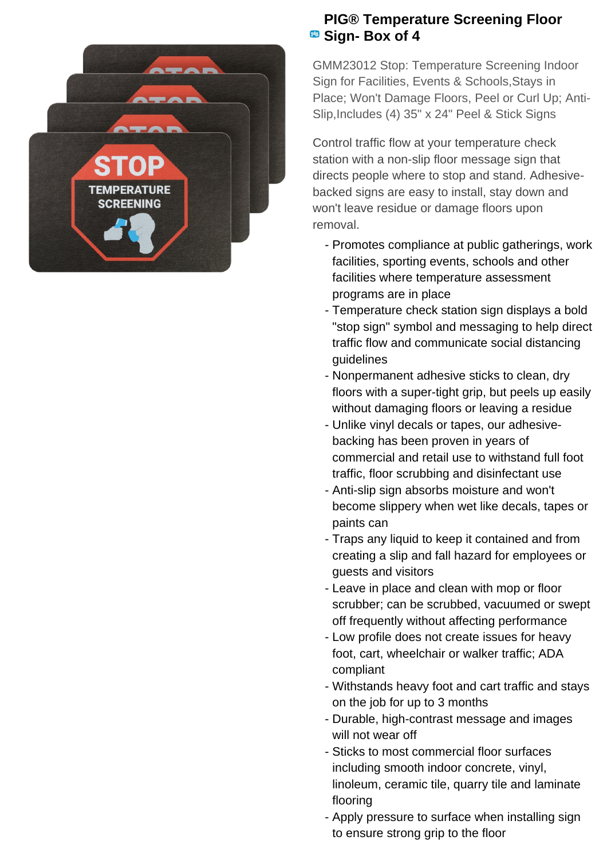

## **PIG® Temperature Screening Floor Box of 4**

GMM23012 Stop: Temperature Screening Indoor Sign for Facilities, Events & Schools,Stays in Place; Won't Damage Floors, Peel or Curl Up; Anti-Slip,Includes (4) 35" x 24" Peel & Stick Signs

Control traffic flow at your temperature check station with a non-slip floor message sign that directs people where to stop and stand. Adhesivebacked signs are easy to install, stay down and won't leave residue or damage floors upon removal.

- Promotes compliance at public gatherings, work facilities, sporting events, schools and other facilities where temperature assessment programs are in place
- Temperature check station sign displays a bold "stop sign" symbol and messaging to help direct traffic flow and communicate social distancing guidelines
- Nonpermanent adhesive sticks to clean, dry floors with a super-tight grip, but peels up easily without damaging floors or leaving a residue
- Unlike vinyl decals or tapes, our adhesive- backing has been proven in years of commercial and retail use to withstand full foot traffic, floor scrubbing and disinfectant use
- Anti-slip sign absorbs moisture and won't become slippery when wet like decals, tapes or paints can
- Traps any liquid to keep it contained and from creating a slip and fall hazard for employees or guests and visitors
- Leave in place and clean with mop or floor scrubber; can be scrubbed, vacuumed or swept off frequently without affecting performance
- Low profile does not create issues for heavy foot, cart, wheelchair or walker traffic; ADA compliant
- Withstands heavy foot and cart traffic and stays on the job for up to 3 months
- Durable, high-contrast message and images will not wear off
- Sticks to most commercial floor surfaces including smooth indoor concrete, vinyl, linoleum, ceramic tile, quarry tile and laminate flooring
- Apply pressure to surface when installing sign to ensure strong grip to the floor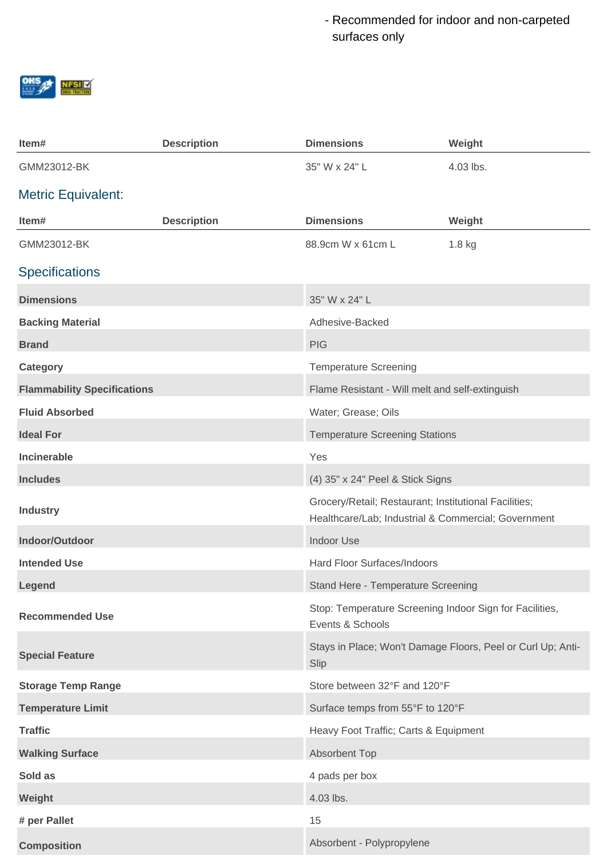Recommended for indoor and non-carpeted surfaces only



| Item#                              | <b>Description</b> | <b>Dimensions</b>                                                                                            | Weight                                                      |
|------------------------------------|--------------------|--------------------------------------------------------------------------------------------------------------|-------------------------------------------------------------|
| GMM23012-BK                        |                    | 35" W x 24" L                                                                                                | 4.03 lbs.                                                   |
| <b>Metric Equivalent:</b>          |                    |                                                                                                              |                                                             |
| Item#                              | <b>Description</b> | <b>Dimensions</b>                                                                                            | Weight                                                      |
| GMM23012-BK                        |                    | 88.9cm W x 61cm L                                                                                            | 1.8 kg                                                      |
| <b>Specifications</b>              |                    |                                                                                                              |                                                             |
| <b>Dimensions</b>                  |                    | 35" W x 24" L                                                                                                |                                                             |
| <b>Backing Material</b>            |                    | Adhesive-Backed                                                                                              |                                                             |
| <b>Brand</b>                       |                    | <b>PIG</b>                                                                                                   |                                                             |
| <b>Category</b>                    |                    | <b>Temperature Screening</b>                                                                                 |                                                             |
| <b>Flammability Specifications</b> |                    | Flame Resistant - Will melt and self-extinguish                                                              |                                                             |
| <b>Fluid Absorbed</b>              |                    | Water; Grease; Oils                                                                                          |                                                             |
| <b>Ideal For</b>                   |                    | <b>Temperature Screening Stations</b>                                                                        |                                                             |
| <b>Incinerable</b>                 |                    | Yes                                                                                                          |                                                             |
| <b>Includes</b>                    |                    | (4) 35" x 24" Peel & Stick Signs                                                                             |                                                             |
| <b>Industry</b>                    |                    | Grocery/Retail; Restaurant; Institutional Facilities;<br>Healthcare/Lab; Industrial & Commercial; Government |                                                             |
| Indoor/Outdoor                     |                    | <b>Indoor Use</b>                                                                                            |                                                             |
| <b>Intended Use</b>                |                    | Hard Floor Surfaces/Indoors                                                                                  |                                                             |
| Legend                             |                    | Stand Here - Temperature Screening                                                                           |                                                             |
| <b>Recommended Use</b>             |                    | Stop: Temperature Screening Indoor Sign for Facilities,<br>Events & Schools                                  |                                                             |
| <b>Special Feature</b>             |                    | Slip                                                                                                         | Stays in Place; Won't Damage Floors, Peel or Curl Up; Anti- |
| <b>Storage Temp Range</b>          |                    | Store between 32°F and 120°F                                                                                 |                                                             |
| <b>Temperature Limit</b>           |                    | Surface temps from 55°F to 120°F                                                                             |                                                             |
| <b>Traffic</b>                     |                    | Heavy Foot Traffic; Carts & Equipment                                                                        |                                                             |
| <b>Walking Surface</b>             |                    | <b>Absorbent Top</b>                                                                                         |                                                             |
| Sold as                            |                    | 4 pads per box                                                                                               |                                                             |
| Weight                             |                    | 4.03 lbs.                                                                                                    |                                                             |
| # per Pallet                       |                    | 15                                                                                                           |                                                             |
| <b>Composition</b>                 |                    | Absorbent - Polypropylene                                                                                    |                                                             |